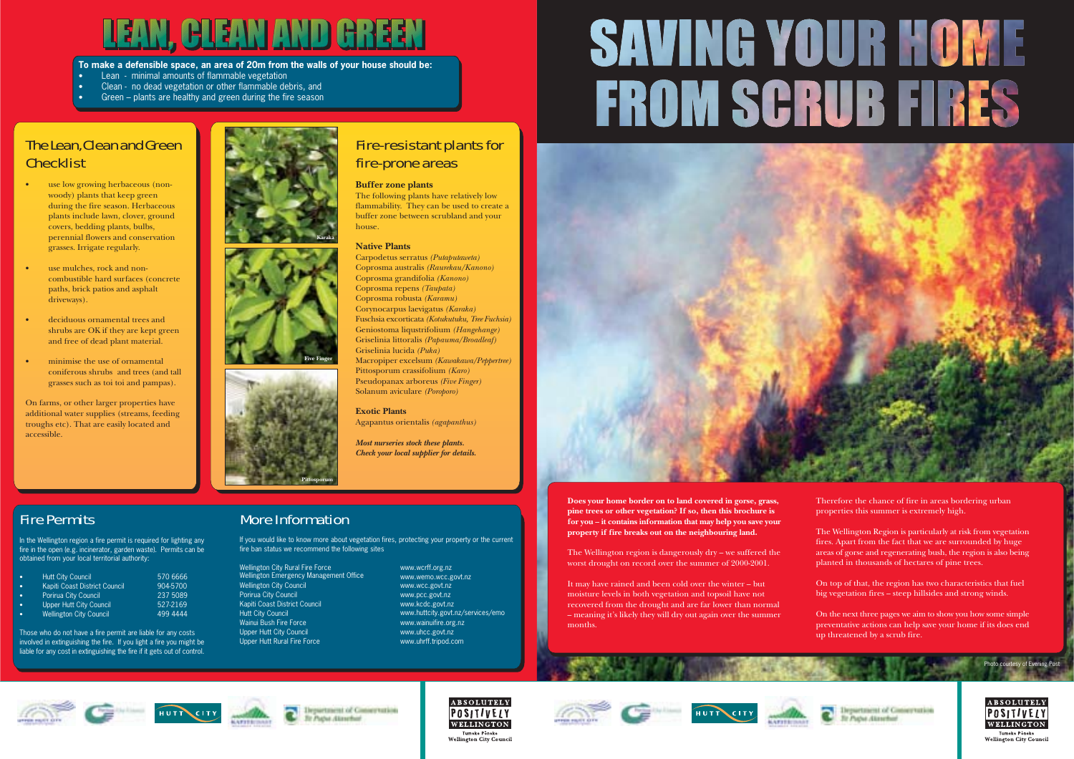## **LEAN, CLEAN AND GREEN**

**To make a defensible space, an area of 20m from the walls of your house should be:**

- •Lean - minimal amounts of flammable vegetation
- •Clean - no dead vegetation or other flammable debris, and
- •Green – plants are healthy and green during the fire season

### The Lean, Clean and Green **Checklist**

- use low growing herbaceous (nonwoody) plants that keep green during the fire season. Herbaceous plants include lawn, clover, ground covers, bedding plants, bulbs, perennial flowers and conservation grasses. Irrigate regularly.
- use mulches, rock and noncombustible hard surfaces (concrete paths, brick patios and asphalt driveways).
- • deciduous ornamental trees and shrubs are OK if they are kept green and free of dead plant material.
- • minimise the use of ornamental coniferous shrubs and trees (and tall grasses such as toi toi and pampas).

On farms, or other larger properties have additional water supplies (streams, feeding troughs etc). That are easily located and accessible.

# **Karaka**





### Fire-resistant plants for fire-prone areas

**Buffer zone plants**

The following plants have relatively low flammability. They can be used to create a buffer zone between scrubland and your house.

### **Native Plants**

 Carpodetus serratus *(Putaputaweta)* Coprosma australis *(Raurekau/Kanono)* Coprosma grandifolia *(Kanono)* Coprosma repens *(Taupata)* Coprosma robusta *(Karamu)* Corynocarpus laevigatus *(Karaka)* Fuschsia excorticata *(Kotukutuku, Tree Fuchsia)* Geniostoma liqustrifolium *(Hangehange)* Griselinia littoralis *(Papauma/Broadleaf)* Griselinia lucida *(Puka)* Macropiper excelsum *(Kawakawa/Peppertree)* Pittosporum crassifolium *(Karo)* Pseudopanax arboreus *(Five Finger)* Solanum aviculare *(Poroporo)*

**Exotic Plants**Agapantus orientalis *(agapanthus)*

*Most nurseries stock these plants. Check your local supplier for details.*

### Fire Permits

In the Wellington region a fire permit is required for lighting any fire in the open (e.g. incinerator, garden waste). Permits can be obtained from your local territorial authority:

| ۰ | <b>Hutt City Council</b>       | 570 6666 |
|---|--------------------------------|----------|
|   |                                |          |
| ۰ | Kapiti Coast District Council  | 904-5700 |
| ۰ | Porirua City Council           | 237 5089 |
| ۰ | Upper Hutt City Council        | 527-2169 |
| ٠ | <b>Wellington City Council</b> | 499 4444 |
|   |                                |          |

Those who do not have a fire permit are liable for any costs involved in extinguishing the fire. If you light a fire you might be liable for any cost in extinguishing the fire if it gets out of control.

### More Information

If you would like to know more about vegetation fires, protecting your property or the current fire ban status we recommend the following sites

Department of Conservation

To Pupu Atmobial

Wellington City Rural Fire Force Wellington Emergency Management OfficeWellington City CouncilPorirua City Council Kapiti Coast District CouncilHutt City Council Wainui Bush Fire Force Upper Hutt City Council Upper Hutt Rural Fire Force

www.wcrff.org.nz www.wemo.wcc.govt.nzwww.wcc.govt.nz www.pcc.govt.nz www.kcdc.govt.nz www.huttcity.govt.nz/services/emowww.wainuifire.org.nzwww.uhcc.govt.nzwww.uhrff.tripod.com

# **SAVING YOUR HOME FROM SCRUB FIRES**



**Does your home border on to land covered in gorse, grass, pine trees or other vegetation? If so, then this brochure is for you – it contains information that may help you save your property if fire breaks out on the neighbouring land.**

The Wellington region is dangerously dry – we suffered the worst drought on record over the summer of 2000-2001.

It may have rained and been cold over the winter – but moisture levels in both vegetation and topsoil have not recovered from the drought and are far lower than normal – meaning it's likely they will dry out again over the summer months.

Therefore the chance of fire in areas bordering urban properties this summer is extremely high.

The Wellington Region is particularly at risk from vegetation fires. Apart from the fact that we are surrounded by huge areas of gorse and regenerating bush, the region is also being planted in thousands of hectares of pine trees.

On top of that, the region has two characteristics that fuel big vegetation fires – steep hillsides and strong winds.

On the next three pages we aim to show you how some simple preventative actions can help save your home if its does end up threatened by a scrub fire.























Photo courtesy of Evening Post